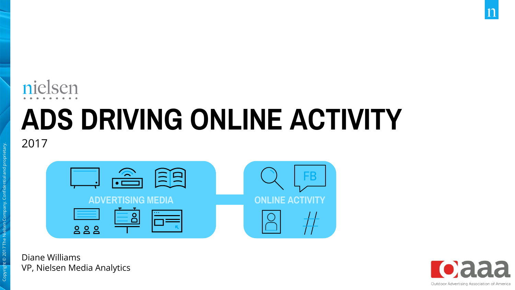### nielsen

## ADS DRIVING ONLINE ACTIVITY

2017

Copyright © 2017 The Nielsen Company. Confidential and proprietary.

| 月<br>$\left(\frac{1}{2}\right)$                         |                        |
|---------------------------------------------------------|------------------------|
| <b>ADVERTISING MEDIA</b>                                | <b>DNLINE ACTIVITY</b> |
| $\cdots$<br>$\overline{Q}$<br>$\overline{Q}$<br>$\circ$ |                        |

Diane Williams VP, Nielsen Media Analytics

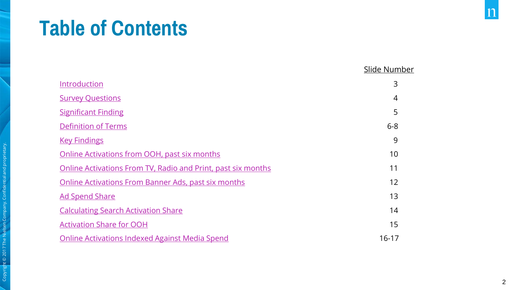### Table of Contents

|                                                              | Slide Number |
|--------------------------------------------------------------|--------------|
| Introduction                                                 | 3            |
| <b>Survey Questions</b>                                      | 4            |
| <b>Significant Finding</b>                                   | 5            |
| <b>Definition of Terms</b>                                   | $6 - 8$      |
| <b>Key Findings</b>                                          | 9            |
| Online Activations from OOH, past six months                 | 10           |
| Online Activations From TV, Radio and Print, past six months | 11           |
| Online Activations From Banner Ads, past six months          | 12           |
| <b>Ad Spend Share</b>                                        | 13           |
| <b>Calculating Search Activation Share</b>                   | 14           |
| <b>Activation Share for OOH</b>                              | 15           |
| <b>Online Activations Indexed Against Media Spend</b>        | $16 - 17$    |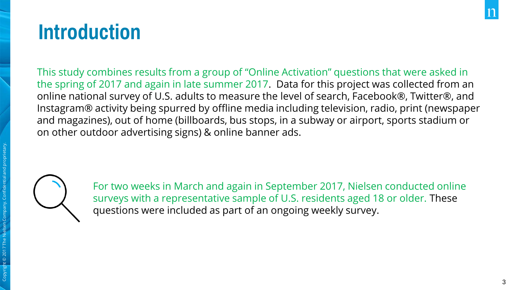### <span id="page-2-0"></span>Introduction

This study combines results from a group of "Online Activation" questions that were asked in the spring of 2017 and again in late summer 2017. Data for this project was collected from an online national survey of U.S. adults to measure the level of search, Facebook®, Twitter®, and Instagram® activity being spurred by offline media including television, radio, print (newspaper and magazines), out of home (billboards, bus stops, in a subway or airport, sports stadium or on other outdoor advertising signs) & online banner ads.



For two weeks in March and again in September 2017, Nielsen conducted online surveys with a representative sample of U.S. residents aged 18 or older. These questions were included as part of an ongoing weekly survey.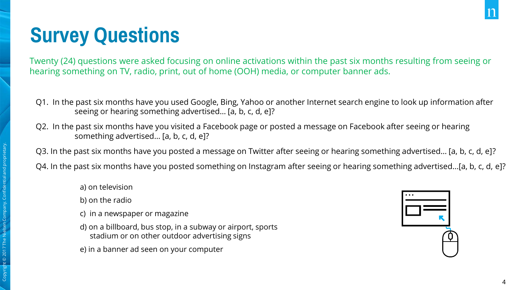### <span id="page-3-0"></span>Survey Questions

Twenty (24) questions were asked focusing on online activations within the past six months resulting from seeing or hearing something on TV, radio, print, out of home (OOH) media, or computer banner ads.

- Q1. In the past six months have you used Google, Bing, Yahoo or another Internet search engine to look up information after seeing or hearing something advertised… [a, b, c, d, e]?
- Q2. In the past six months have you visited a Facebook page or posted a message on Facebook after seeing or hearing something advertised… [a, b, c, d, e]?

Q3. In the past six months have you posted a message on Twitter after seeing or hearing something advertised… [a, b, c, d, e]?

Q4. In the past six months have you posted something on Instagram after seeing or hearing something advertised...[a, b, c, d, e]?

- a) on television
- b) on the radio
- c) in a newspaper or magazine
- d) on a billboard, bus stop, in a subway or airport, sports stadium or on other outdoor advertising signs
- e) in a banner ad seen on your computer

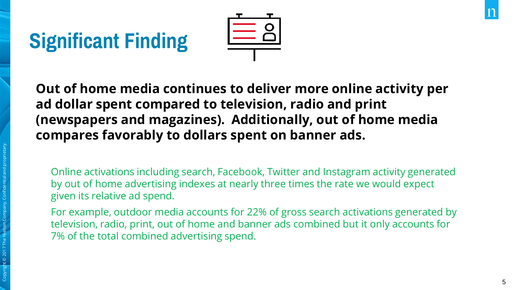### <span id="page-4-0"></span>Significant Finding



Out of home media continues to deliver more online activity per ad dollar spent compared to television, radio and print (newspapers and magazines). Additionally, out of home media compares favorably to dollars spent on banner ads.

Online activations including search, Facebook, Twitter and Instagram activity generated by out of home advertising indexes at nearly three times the rate we would expect given its relative ad spend.

For example, outdoor media accounts for 22% of gross search activations generated by television, radio, print, out of home and banner ads combined but it only accounts for 7% of the total combined advertising spend.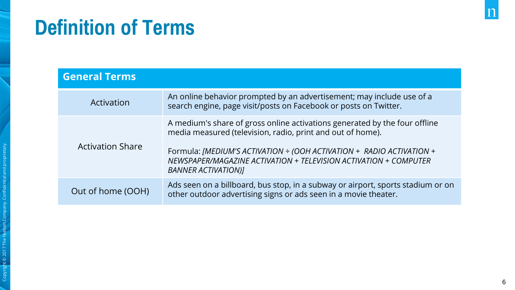### <span id="page-5-0"></span>Definition of Terms

| <b>General Terms</b>    |                                                                                                                                                                                                                                                                                                                    |
|-------------------------|--------------------------------------------------------------------------------------------------------------------------------------------------------------------------------------------------------------------------------------------------------------------------------------------------------------------|
| Activation              | An online behavior prompted by an advertisement; may include use of a<br>search engine, page visit/posts on Facebook or posts on Twitter.                                                                                                                                                                          |
| <b>Activation Share</b> | A medium's share of gross online activations generated by the four offline<br>media measured (television, radio, print and out of home).<br>Formula: [MEDIUM'S ACTIVATION + (OOH ACTIVATION + RADIO ACTIVATION +<br>NEWSPAPER/MAGAZINE ACTIVATION + TELEVISION ACTIVATION + COMPUTER<br><b>BANNER ACTIVATION)1</b> |
| Out of home (OOH)       | Ads seen on a billboard, bus stop, in a subway or airport, sports stadium or on<br>other outdoor advertising signs or ads seen in a movie theater.                                                                                                                                                                 |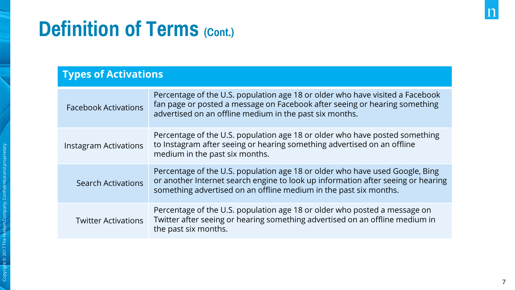### Definition of Terms (Cont.)

### Types of Activations

| <b>Facebook Activations</b> | Percentage of the U.S. population age 18 or older who have visited a Facebook<br>fan page or posted a message on Facebook after seeing or hearing something<br>advertised on an offline medium in the past six months.                |
|-----------------------------|---------------------------------------------------------------------------------------------------------------------------------------------------------------------------------------------------------------------------------------|
| Instagram Activations       | Percentage of the U.S. population age 18 or older who have posted something<br>to Instagram after seeing or hearing something advertised on an offline<br>medium in the past six months.                                              |
| <b>Search Activations</b>   | Percentage of the U.S. population age 18 or older who have used Google, Bing<br>or another Internet search engine to look up information after seeing or hearing<br>something advertised on an offline medium in the past six months. |
| <b>Twitter Activations</b>  | Percentage of the U.S. population age 18 or older who posted a message on<br>Twitter after seeing or hearing something advertised on an offline medium in<br>the past six months.                                                     |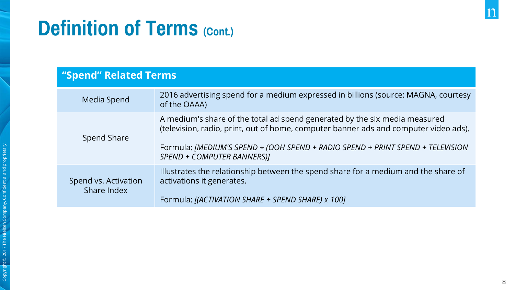### Definition of Terms (Cont.)

#### "Spend" Related Terms

| Media Spend                         | 2016 advertising spend for a medium expressed in billions (source: MAGNA, courtesy<br>of the OAAA)                                                                                                                                                                                 |
|-------------------------------------|------------------------------------------------------------------------------------------------------------------------------------------------------------------------------------------------------------------------------------------------------------------------------------|
| Spend Share                         | A medium's share of the total ad spend generated by the six media measured<br>(television, radio, print, out of home, computer banner ads and computer video ads).<br>Formula: [MEDIUM'S SPEND ÷ (OOH SPEND + RADIO SPEND + PRINT SPEND + TELEVISION<br>SPEND + COMPUTER BANNERS)] |
| Spend vs. Activation<br>Share Index | Illustrates the relationship between the spend share for a medium and the share of<br>activations it generates.<br>Formula: [(ACTIVATION SHARE ÷ SPEND SHARE) x 100]                                                                                                               |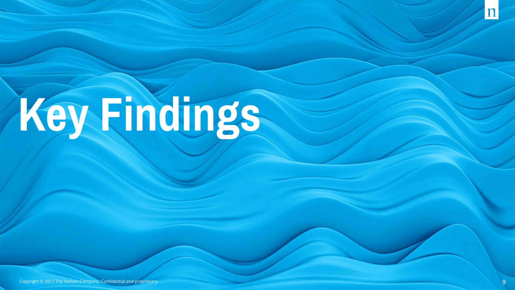# <span id="page-8-0"></span>Key Findings

Copyright © 2017 The Nielsen Company. Confidential and proprietary.

Copyright © 2017 The Nielsen Company. Confidential and proprietary.

 $\mathbf{1}$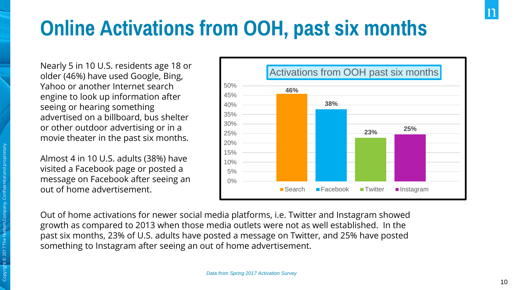### <span id="page-9-0"></span>Online Activations from OOH, past six months

Nearly 5 in 10 U.S. residents age 18 or older (46%) have used Google, Bing, Yahoo or another Internet search engine to look up information after seeing or hearing something advertised on a billboard, bus shelter or other outdoor advertising or in a movie theater in the past six months.

Almost 4 in 10 U.S. adults (38%) have visited a Facebook page or posted a message on Facebook after seeing an out of home advertisement.



Out of home activations for newer social media platforms, i.e. Twitter and Instagram showed growth as compared to 2013 when those media outlets were not as well established. In the past six months, 23% of U.S. adults have posted a message on Twitter, and 25% have posted something to Instagram after seeing an out of home advertisement.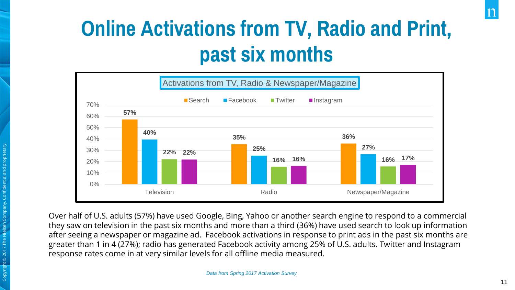### <span id="page-10-0"></span>Online Activations from TV, Radio and Print, past six months



Over half of U.S. adults (57%) have used Google, Bing, Yahoo or another search engine to respond to a commercial they saw on television in the past six months and more than a third (36%) have used search to look up information after seeing a newspaper or magazine ad. Facebook activations in response to print ads in the past six months are greater than 1 in 4 (27%); radio has generated Facebook activity among 25% of U.S. adults. Twitter and Instagram response rates come in at very similar levels for all offline media measured.

Copyright © 2017 The Nielsen Company. Confidential and proprietary.

© 2017 The Ni

11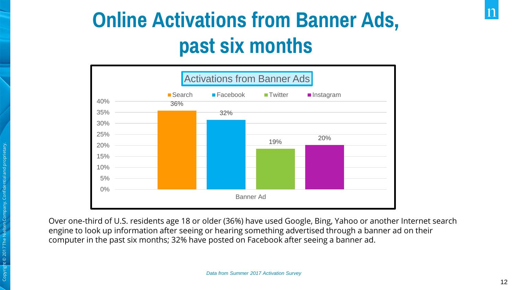### <span id="page-11-0"></span>Online Activations from Banner Ads, past six months



Over one-third of U.S. residents age 18 or older (36%) have used Google, Bing, Yahoo or another Internet search engine to look up information after seeing or hearing something advertised through a banner ad on their computer in the past six months; 32% have posted on Facebook after seeing a banner ad.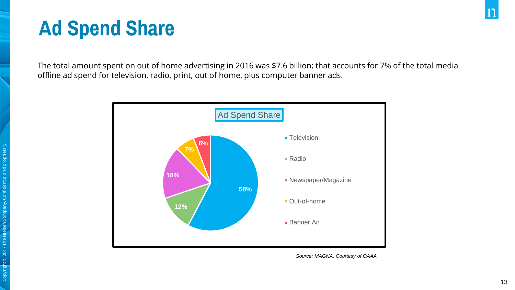### <span id="page-12-0"></span>Ad Spend Share

The total amount spent on out of home advertising in 2016 was \$7.6 billion; that accounts for 7% of the total media offline ad spend for television, radio, print, out of home, plus computer banner ads.



*Source: MAGNA, Courtesy of OAAA*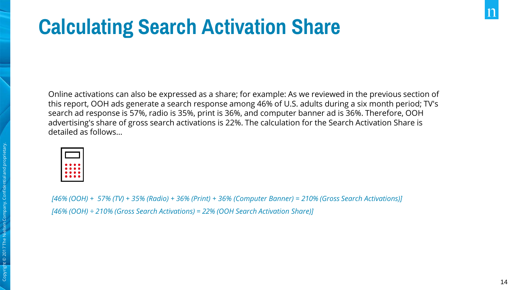### <span id="page-13-0"></span>Calculating Search Activation Share

Online activations can also be expressed as a share; for example: As we reviewed in the previous section of this report, OOH ads generate a search response among 46% of U.S. adults during a six month period; TV's search ad response is 57%, radio is 35%, print is 36%, and computer banner ad is 36%. Therefore, OOH advertising's share of gross search activations is 22%. The calculation for the Search Activation Share is detailed as follows…

| <b>Service Service</b> |  |
|------------------------|--|

*[46% (OOH) + 57% (TV) + 35% (Radio) + 36% (Print) + 36% (Computer Banner) = 210% (Gross Search Activations)] [46% (OOH) ÷ 210% (Gross Search Activations) = 22% (OOH Search Activation Share)]*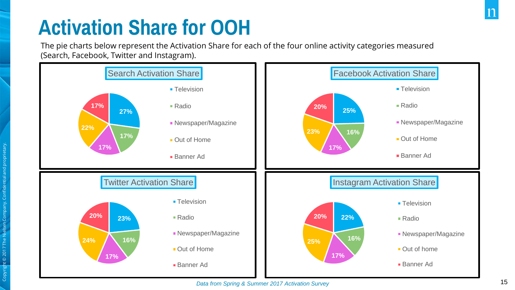### <span id="page-14-0"></span>Activation Share for OOH

The pie charts below represent the Activation Share for each of the four online activity categories measured (Search, Facebook, Twitter and Instagram).

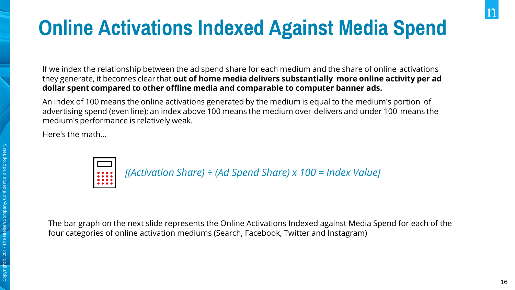### <span id="page-15-0"></span>Online Activations Indexed Against Media Spend

If we index the relationship between the ad spend share for each medium and the share of online activations they generate, it becomes clear that out of home media delivers substantially more online activity per ad dollar spent compared to other offline media and comparable to computer banner ads.

An index of 100 means the online activations generated by the medium is equal to the medium's portion of advertising spend (even line); an index above 100 means the medium over-delivers and under 100 means the medium's performance is relatively weak.

Here's the math…



*[(Activation Share) ÷ (Ad Spend Share) x 100 = Index Value]*

The bar graph on the next slide represents the Online Activations Indexed against Media Spend for each of the four categories of online activation mediums (Search, Facebook, Twitter and Instagram)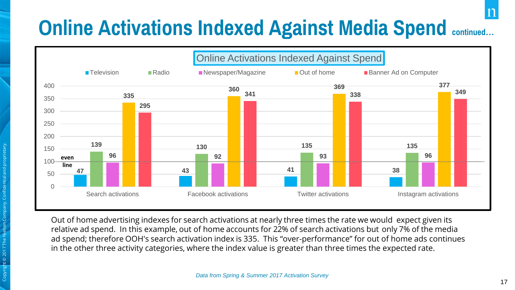### Online Activations Indexed Against Media Spend continued**…**



Out of home advertising indexes for search activations at nearly three times the rate we would expect given its relative ad spend. In this example, out of home accounts for 22% of search activations but only 7% of the media ad spend; therefore OOH's search activation index is 335. This "over-performance" for out of home ads continues in the other three activity categories, where the index value is greater than three times the expected rate.